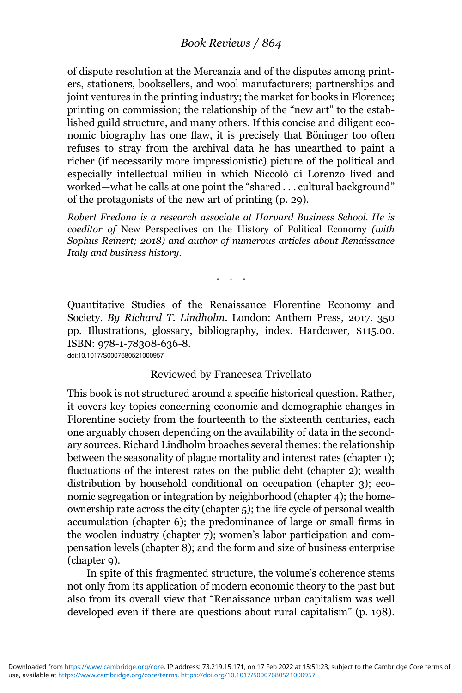## Book Reviews / 864

of dispute resolution at the Mercanzia and of the disputes among printers, stationers, booksellers, and wool manufacturers; partnerships and joint ventures in the printing industry; the market for books in Florence; printing on commission; the relationship of the "new art" to the established guild structure, and many others. If this concise and diligent economic biography has one flaw, it is precisely that Böninger too often refuses to stray from the archival data he has unearthed to paint a richer (if necessarily more impressionistic) picture of the political and especially intellectual milieu in which Niccolò di Lorenzo lived and worked—what he calls at one point the "shared . . . cultural background" of the protagonists of the new art of printing (p. 29).

Robert Fredona is a research associate at Harvard Business School. He is coeditor of New Perspectives on the History of Political Economy (with Sophus Reinert; 2018) and author of numerous articles about Renaissance Italy and business history.

...

Quantitative Studies of the Renaissance Florentine Economy and Society. By Richard T. Lindholm. London: Anthem Press, 2017. 350 pp. Illustrations, glossary, bibliography, index. Hardcover, \$115.00. ISBN: 978-1-78308-636-8. doi:10.1017/S0007680521000957

## Reviewed by Francesca Trivellato

This book is not structured around a specific historical question. Rather, it covers key topics concerning economic and demographic changes in Florentine society from the fourteenth to the sixteenth centuries, each one arguably chosen depending on the availability of data in the secondary sources. Richard Lindholm broaches several themes: the relationship between the seasonality of plague mortality and interest rates (chapter 1); fluctuations of the interest rates on the public debt (chapter 2); wealth distribution by household conditional on occupation (chapter 3); economic segregation or integration by neighborhood (chapter 4); the homeownership rate across the city (chapter 5); the life cycle of personal wealth accumulation (chapter 6); the predominance of large or small firms in the woolen industry (chapter 7); women's labor participation and compensation levels (chapter 8); and the form and size of business enterprise (chapter 9).

In spite of this fragmented structure, the volume's coherence stems not only from its application of modern economic theory to the past but also from its overall view that "Renaissance urban capitalism was well developed even if there are questions about rural capitalism" (p. 198).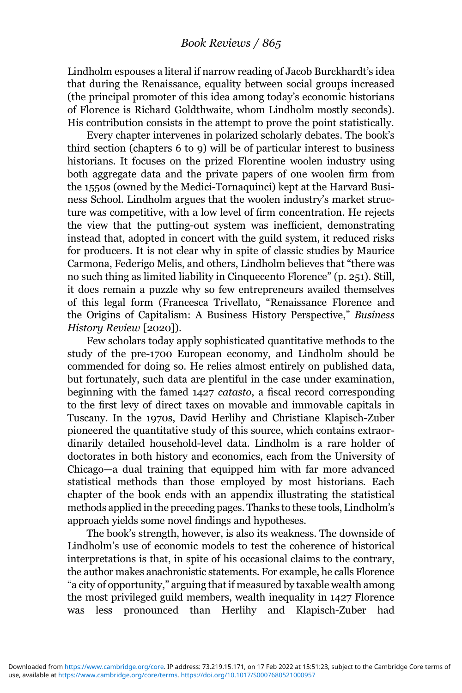Lindholm espouses a literal if narrow reading of Jacob Burckhardt's idea that during the Renaissance, equality between social groups increased (the principal promoter of this idea among today's economic historians of Florence is Richard Goldthwaite, whom Lindholm mostly seconds). His contribution consists in the attempt to prove the point statistically.

Every chapter intervenes in polarized scholarly debates. The book's third section (chapters 6 to 9) will be of particular interest to business historians. It focuses on the prized Florentine woolen industry using both aggregate data and the private papers of one woolen firm from the 1550s (owned by the Medici-Tornaquinci) kept at the Harvard Business School. Lindholm argues that the woolen industry's market structure was competitive, with a low level of firm concentration. He rejects the view that the putting-out system was inefficient, demonstrating instead that, adopted in concert with the guild system, it reduced risks for producers. It is not clear why in spite of classic studies by Maurice Carmona, Federigo Melis, and others, Lindholm believes that "there was no such thing as limited liability in Cinquecento Florence" (p. 251). Still, it does remain a puzzle why so few entrepreneurs availed themselves of this legal form (Francesca Trivellato, "Renaissance Florence and the Origins of Capitalism: A Business History Perspective," Business History Review [2020]).

Few scholars today apply sophisticated quantitative methods to the study of the pre-1700 European economy, and Lindholm should be commended for doing so. He relies almost entirely on published data, but fortunately, such data are plentiful in the case under examination, beginning with the famed 1427 catasto, a fiscal record corresponding to the first levy of direct taxes on movable and immovable capitals in Tuscany. In the 1970s, David Herlihy and Christiane Klapisch-Zuber pioneered the quantitative study of this source, which contains extraordinarily detailed household-level data. Lindholm is a rare holder of doctorates in both history and economics, each from the University of Chicago—a dual training that equipped him with far more advanced statistical methods than those employed by most historians. Each chapter of the book ends with an appendix illustrating the statistical methods applied in the preceding pages. Thanks to these tools, Lindholm's approach yields some novel findings and hypotheses.

The book's strength, however, is also its weakness. The downside of Lindholm's use of economic models to test the coherence of historical interpretations is that, in spite of his occasional claims to the contrary, the author makes anachronistic statements. For example, he calls Florence "a city of opportunity," arguing that if measured by taxable wealth among the most privileged guild members, wealth inequality in 1427 Florence was less pronounced than Herlihy and Klapisch-Zuber had